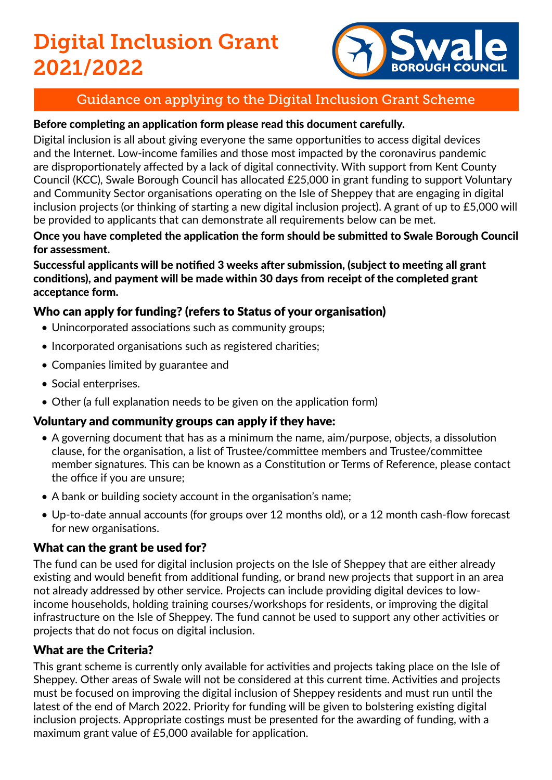# Digital Inclusion Grant 2021/2022



# Guidance on applying to the Digital Inclusion Grant Scheme

### Before completing an application form please read this document carefully.

Digital inclusion is all about giving everyone the same opportunities to access digital devices and the Internet. Low-income families and those most impacted by the coronavirus pandemic are disproportionately affected by a lack of digital connectivity. With support from Kent County Council (KCC), Swale Borough Council has allocated £25,000 in grant funding to support Voluntary and Community Sector organisations operating on the Isle of Sheppey that are engaging in digital inclusion projects (or thinking of starting a new digital inclusion project). A grant of up to £5,000 will be provided to applicants that can demonstrate all requirements below can be met.

### Once you have completed the application the form should be submitted to Swale Borough Council for assessment.

Successful applicants will be notified 3 weeks after submission, (subject to meeting all grant conditions), and payment will be made within 30 days from receipt of the completed grant acceptance form.

# Who can apply for funding? (refers to Status of your organisation)

- Unincorporated associations such as community groups;
- Incorporated organisations such as registered charities;
- Companies limited by guarantee and
- Social enterprises.
- Other (a full explanation needs to be given on the application form)

# Voluntary and community groups can apply if they have:

- A governing document that has as a minimum the name, aim/purpose, objects, a dissolution clause, for the organisation, a list of Trustee/committee members and Trustee/committee member signatures. This can be known as a Constitution or Terms of Reference, please contact the office if you are unsure;
- A bank or building society account in the organisation's name;
- Up-to-date annual accounts (for groups over 12 months old), or a 12 month cash-flow forecast for new organisations.

# What can the grant be used for?

The fund can be used for digital inclusion projects on the Isle of Sheppey that are either already existing and would benefit from additional funding, or brand new projects that support in an area not already addressed by other service. Projects can include providing digital devices to lowincome households, holding training courses/workshops for residents, or improving the digital infrastructure on the Isle of Sheppey. The fund cannot be used to support any other activities or projects that do not focus on digital inclusion.

# What are the Criteria?

This grant scheme is currently only available for activities and projects taking place on the Isle of Sheppey. Other areas of Swale will not be considered at this current time. Activities and projects must be focused on improving the digital inclusion of Sheppey residents and must run until the latest of the end of March 2022. Priority for funding will be given to bolstering existing digital inclusion projects. Appropriate costings must be presented for the awarding of funding, with a maximum grant value of £5,000 available for application.